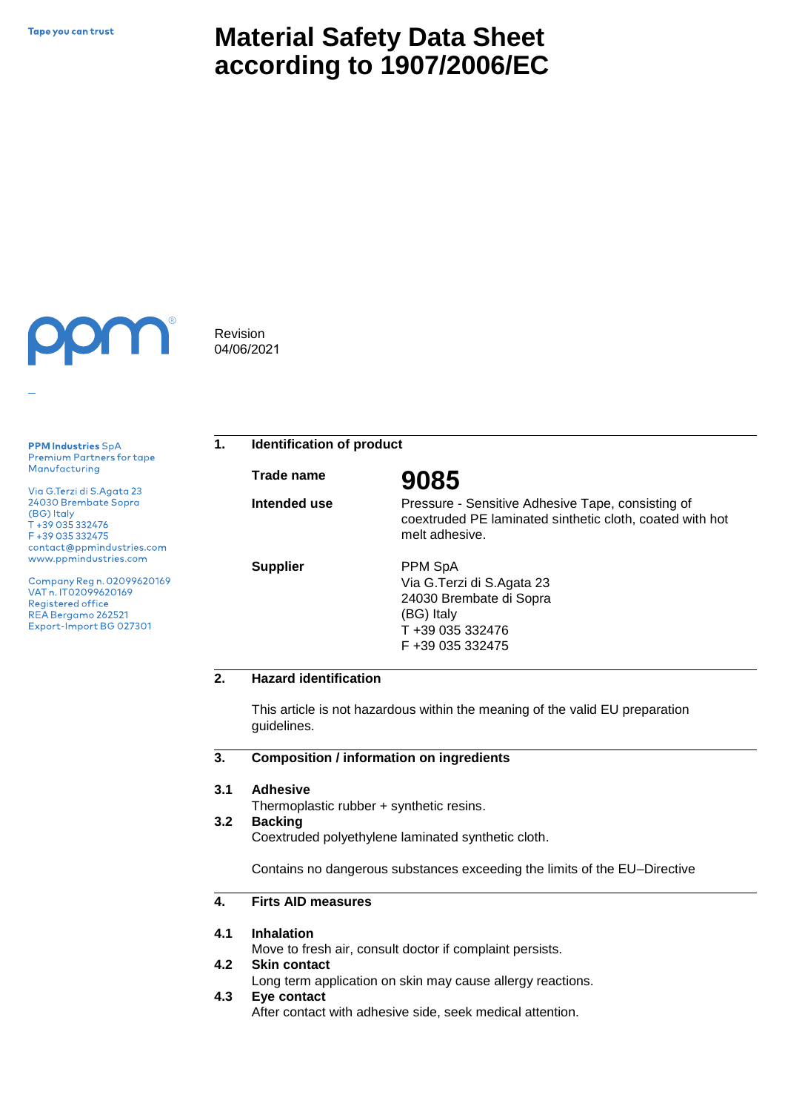# **Material Safety Data Sheet according to 1907/2006/EC**



Revision 04/06/2021

**PPM Industries SpA** Premium Partners for tape Manufacturing

Via G.Terzi di S.Agata 23 24030 Brembate Sopra (BG) Italy T +39 035 332476 F +39 035 332475 contact@ppmindustries.com www.ppmindustries.com

Company Reg n. 02099620169 VAT n. IT02099620169 Registered office REA Bergamo 262521 Export-Import BG 027301

**1. Identification of product**

**Trade name**

**Intended use**

**Supplier**

**9085**

Pressure - Sensitive Adhesive Tape, consisting of coextruded PE laminated sinthetic cloth, coated with hot melt adhesive.

PPM SpA Via G.Terzi di S.Agata 23 24030 Brembate di Sopra (BG) Italy T +39 035 332476 F +39 035 332475

# **2. Hazard identification**

This article is not hazardous within the meaning of the valid EU preparation guidelines.

#### **3. Composition / information on ingredients**

#### **3.1 Adhesive**

Thermoplastic rubber + synthetic resins.

#### **3.2 Backing**

Coextruded polyethylene laminated synthetic cloth.

Contains no dangerous substances exceeding the limits of the EU–Directive

#### **4. Firts AID measures**

#### **4.1 Inhalation**

Move to fresh air, consult doctor if complaint persists.

#### **4.2 Skin contact**

Long term application on skin may cause allergy reactions.

**4.3 Eye contact**

After contact with adhesive side, seek medical attention.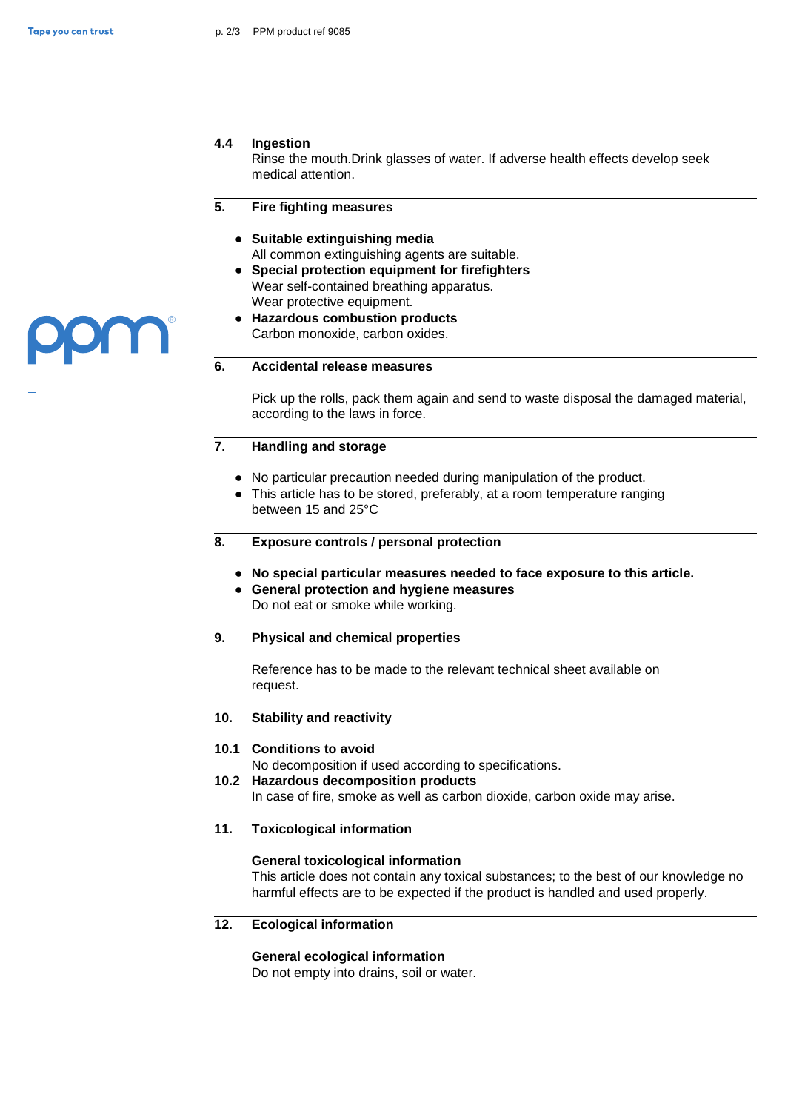### **4.4 Ingestion**

Rinse the mouth.Drink glasses of water. If adverse health effects develop seek medical attention.

#### **5. Fire fighting measures**

- **● Suitable extinguishing media** All common extinguishing agents are suitable.
- **● Special protection equipment for firefighters**  Wear self-contained breathing apparatus. Wear protective equipment.
- **● Hazardous combustion products** Carbon monoxide, carbon oxides.

### **6. Accidental release measures**

Pick up the rolls, pack them again and send to waste disposal the damaged material, according to the laws in force.

#### **7. Handling and storage**

- **●** No particular precaution needed during manipulation of the product.
- **●** This article has to be stored, preferably, at a room temperature ranging between 15 and 25°C
- **8. Exposure controls / personal protection**
	- **● No special particular measures needed to face exposure to this article.**
	- **● General protection and hygiene measures**  Do not eat or smoke while working.

### **9. Physical and chemical properties**

Reference has to be made to the relevant technical sheet available on request.

#### **10. Stability and reactivity**

### **10.1 Conditions to avoid**

No decomposition if used according to specifications.

**10.2 Hazardous decomposition products**

In case of fire, smoke as well as carbon dioxide, carbon oxide may arise.

### **11. Toxicological information**

### **General toxicological information**

This article does not contain any toxical substances; to the best of our knowledge no harmful effects are to be expected if the product is handled and used properly.

### **12. Ecological information**

### **General ecological information**

Do not empty into drains, soil or water.